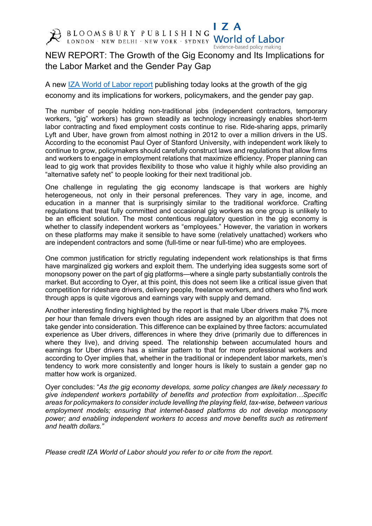

 $\mathsf{I}$  Z A BLOOMSBURY PUBLISHING World of Labor

NEW REPORT: The Growth of the Gig Economy and Its Implications for the Labor Market and the Gender Pay Gap

Evidence-based policy making

A new IZA World of Labor report publishing today looks at the growth of the gig economy and its implications for workers, policymakers, and the gender pay gap.

The number of people holding non-traditional jobs (independent contractors, temporary workers, "gig" workers) has grown steadily as technology increasingly enables short-term labor contracting and fixed employment costs continue to rise. Ride-sharing apps, primarily Lyft and Uber, have grown from almost nothing in 2012 to over a million drivers in the US. According to the economist Paul Oyer of Stanford University, with independent work likely to continue to grow, policymakers should carefully construct laws and regulations that allow firms and workers to engage in employment relations that maximize efficiency. Proper planning can lead to gig work that provides flexibility to those who value it highly while also providing an "alternative safety net" to people looking for their next traditional job.

One challenge in regulating the gig economy landscape is that workers are highly heterogeneous, not only in their personal preferences. They vary in age, income, and education in a manner that is surprisingly similar to the traditional workforce. Crafting regulations that treat fully committed and occasional gig workers as one group is unlikely to be an efficient solution. The most contentious regulatory question in the gig economy is whether to classify independent workers as "employees." However, the variation in workers on these platforms may make it sensible to have some (relatively unattached) workers who are independent contractors and some (full-time or near full-time) who are employees.

One common justification for strictly regulating independent work relationships is that firms have marginalized gig workers and exploit them. The underlying idea suggests some sort of monopsony power on the part of gig platforms—where a single party substantially controls the market. But according to Oyer, at this point, this does not seem like a critical issue given that competition for rideshare drivers, delivery people, freelance workers, and others who find work through apps is quite vigorous and earnings vary with supply and demand.

Another interesting finding highlighted by the report is that male Uber drivers make 7% more per hour than female drivers even though rides are assigned by an algorithm that does not take gender into consideration. This difference can be explained by three factors: accumulated experience as Uber drivers, differences in where they drive (primarily due to differences in where they live), and driving speed. The relationship between accumulated hours and earnings for Uber drivers has a similar pattern to that for more professional workers and according to Oyer implies that, whether in the traditional or independent labor markets, men's tendency to work more consistently and longer hours is likely to sustain a gender gap no matter how work is organized.

Oyer concludes: "*As the gig economy develops, some policy changes are likely necessary to give independent workers portability of benefits and protection from exploitation…Specific areas for policymakers to consider include levelling the playing field, tax-wise, between various employment models; ensuring that internet-based platforms do not develop monopsony power; and enabling independent workers to access and move benefits such as retirement and health dollars."*

*Please credit IZA World of Labor should you refer to or cite from the report.*